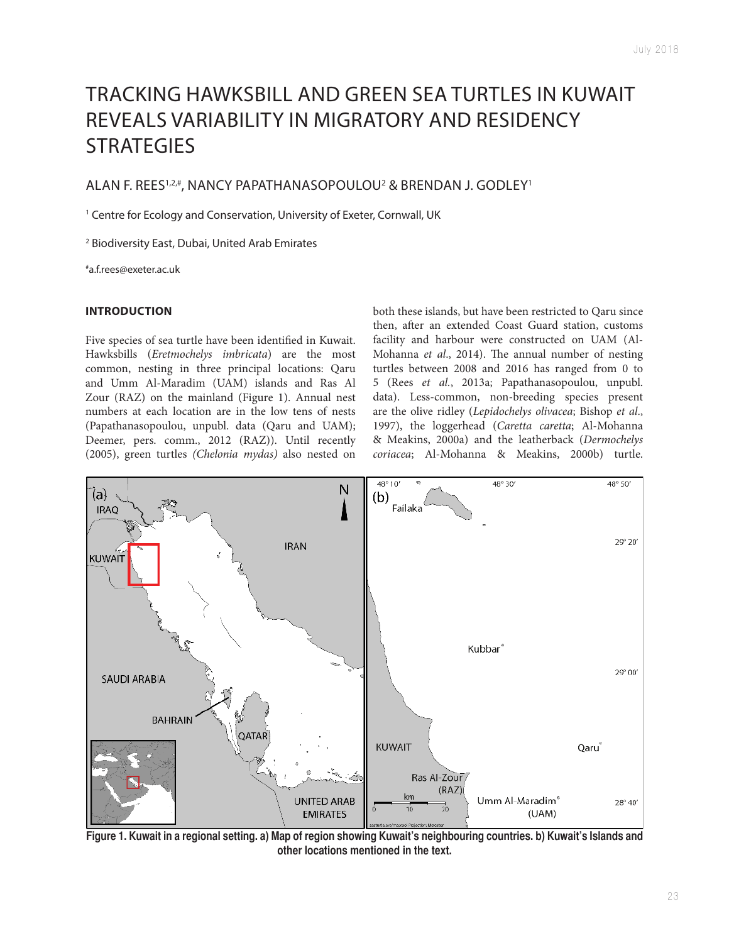# TRACKING HAWKSBILL AND GREEN SEA TURTLES IN KUWAIT REVEALS VARIABILITY IN MIGRATORY AND RESIDENCY **STRATEGIES**

## ALAN F. REES<sup>1,2,#</sup>, NANCY PAPATHANASOPOULOU<sup>2</sup> & BRENDAN J. GODLEY<sup>1</sup>

<sup>1</sup> Centre for Ecology and Conservation, University of Exeter, Cornwall, UK

2 Biodiversity East, Dubai, United Arab Emirates

#a.f.rees@exeter.ac.uk

#### **INTRODUCTION**

Five species of sea turtle have been identified in Kuwait. Hawksbills (Eretmochelys imbricata) are the most common, nesting in three principal locations: Qaru and Umm Al-Maradim (UAM) islands and Ras Al Zour (RAZ) on the mainland (Figure 1). Annual nest numbers at each location are in the low tens of nests (Papathanasopoulou, unpubl. data (Qaru and UAM); Deemer, pers. comm., 2012 (RAZ)). Until recently (2005), green turtles (Chelonia mydas) also nested on both these islands, but have been restricted to Qaru since then, after an extended Coast Guard station, customs facility and harbour were constructed on UAM (Al-Mohanna et al., 2014). The annual number of nesting turtles between 2008 and 2016 has ranged from 0 to 5 (Rees et al., 2013a; Papathanasopoulou, unpubl. data). Less-common, non-breeding species present are the olive ridley (Lepidochelys olivacea; Bishop et al., 1997), the loggerhead (Caretta caretta; Al-Mohanna & Meakins, 2000a) and the leatherback (Dermochelys coriacea; Al-Mohanna & Meakins, 2000b) turtle.



**Figure 1. Kuwait in a regional setting. a) Map of region showing Kuwait's neighbouring countries. b) Kuwait's Islands and other locations mentioned in the text.**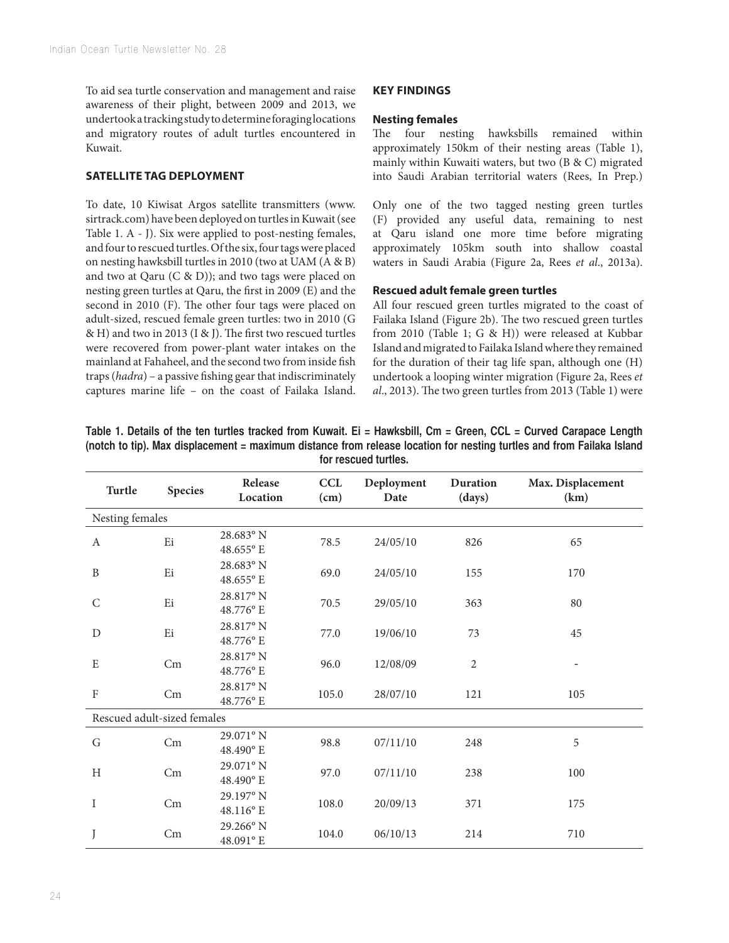To aid sea turtle conservation and management and raise awareness of their plight, between 2009 and 2013, we undertook a tracking study to determine foraging locations and migratory routes of adult turtles encountered in Kuwait.

## **SATELLITE TAG DEPLOYMENT**

To date, 10 Kiwisat Argos satellite transmitters (www. sirtrack.com) have been deployed on turtles in Kuwait (see Table 1. A - J). Six were applied to post-nesting females, and four to rescued turtles. Of the six, four tags were placed on nesting hawksbill turtles in 2010 (two at UAM (A & B) and two at Qaru (C & D)); and two tags were placed on nesting green turtles at Qaru, the first in 2009 (E) and the second in 2010 (F). The other four tags were placed on adult-sized, rescued female green turtles: two in 2010 (G & H) and two in 2013 (I & J). The first two rescued turtles were recovered from power-plant water intakes on the mainland at Fahaheel, and the second two from inside fish traps (hadra) – a passive fishing gear that indiscriminately captures marine life – on the coast of Failaka Island.

## **KEY FINDINGS**

#### **Nesting females**

The four nesting hawksbills remained within approximately 150km of their nesting areas (Table 1), mainly within Kuwaiti waters, but two (B & C) migrated into Saudi Arabian territorial waters (Rees, In Prep.)

Only one of the two tagged nesting green turtles (F) provided any useful data, remaining to nest at Qaru island one more time before migrating approximately 105km south into shallow coastal waters in Saudi Arabia (Figure 2a, Rees et al., 2013a).

## **Rescued adult female green turtles**

All four rescued green turtles migrated to the coast of Failaka Island (Figure 2b). The two rescued green turtles from 2010 (Table 1; G & H)) were released at Kubbar Island and migrated to Failaka Island where they remained for the duration of their tag life span, although one (H) undertook a looping winter migration (Figure 2a, Rees et al., 2013). The two green turtles from 2013 (Table 1) were

| Turtle                      | <b>Species</b> | Release<br>Location               | <b>CCL</b><br>(cm) | Deployment<br>Date | Duration<br>(days) | Max. Displacement<br>(km) |
|-----------------------------|----------------|-----------------------------------|--------------------|--------------------|--------------------|---------------------------|
| Nesting females             |                |                                   |                    |                    |                    |                           |
| A                           | Ei             | $28.683^{\circ}$ N<br>$48.655$ °E | 78.5               | 24/05/10           | 826                | 65                        |
| B                           | Ei             | 28.683° N<br>48.655° E            | 69.0               | 24/05/10           | 155                | 170                       |
| $\mathsf{C}$                | Ei             | 28.817° N<br>48.776° E            | 70.5               | 29/05/10           | 363                | 80                        |
| D                           | Ei             | 28.817° N<br>48.776° E            | 77.0               | 19/06/10           | 73                 | 45                        |
| E                           | Cm             | 28.817° N<br>48.776° E            | 96.0               | 12/08/09           | $\overline{2}$     |                           |
| $\rm F$                     | Cm             | 28.817° N<br>48.776° E            | 105.0              | 28/07/10           | 121                | 105                       |
| Rescued adult-sized females |                |                                   |                    |                    |                    |                           |
| G                           | Cm             | $29.071$ ° N<br>$48.490$ °E       | 98.8               | 07/11/10           | 248                | 5                         |
| H                           | Cm             | $29.071$ ° N<br>48.490° E         | 97.0               | 07/11/10           | 238                | 100                       |
| I                           | Cm             | 29.197° N<br>48.116° E            | 108.0              | 20/09/13           | 371                | 175                       |
|                             | Cm             | 29.266° N<br>48.091° E            | 104.0              | 06/10/13           | 214                | 710                       |

**Table 1. Details of the ten turtles tracked from Kuwait. Ei = Hawksbill, Cm = Green, CCL = Curved Carapace Length (notch to tip). Max displacement = maximum distance from release location for nesting turtles and from Failaka Island for rescued turtles.**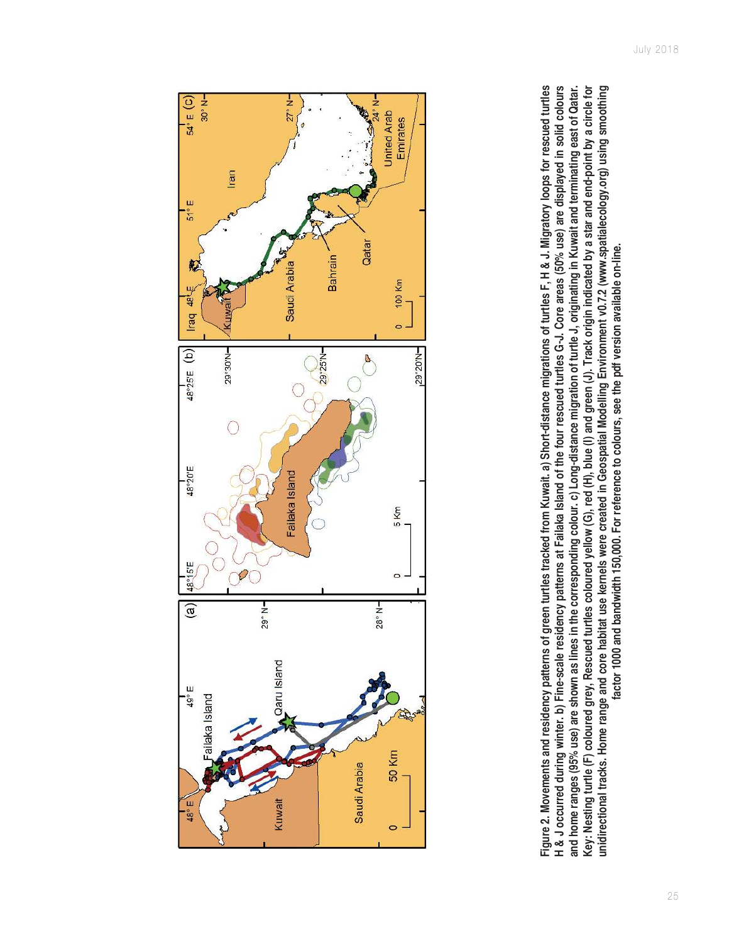

Figure 2. Movements and residency patterns of green turtles tracked from Kuwait. a) Short-distance migrations of turtles F, H & J. Migratory loops for rescued turtles **Figure 2. Movements and residency patterns of green turtles tracked from Kuwait. a) Short-distance migrations of turtles F, H & J. Migratory loops for rescued turtles**  H & J occurred during winter. b) Fine-scale residency patterns at Failaka Island of the four rescued turtles G-J. Core areas (50% use) are displayed in solid colours **H & J occurred during winter. b) Fine-scale residency patterns at Failaka Island of the four rescued turtles G-J. Core areas (50% use) are displayed in solid colours and home ranges (95% use) are shown as lines in the corresponding colour. c) Long-distance migration of turtle J, originating in Kuwait and terminating east of Qatar.**  Key: Nesting turtle (F) coloured grey, Rescued turtles coloured yellow (G), red (H), blue (I) and green (J). Track origin indicated by a star and end-point by a circle for **Key: Nesting turtle (F) coloured grey, Rescued turtles coloured yellow (G), red (H), blue (I) and green (J). Track origin indicated by a star and end-point by a circle for unidirectional tracks. Home range and core habitat use kernels were created in Geospatial Modelling Environment v0.7.2 (www.spatialecology.org) using smoothing**  and home ranges (95% use) are shown as lines in the corresponding colour. c) Long-distance migration of turtle J, originating in Kuwait and terminating east of Qatar. unidirectional tracks. Home range and core habitat use kernels were created in Geospatial Modelling Environment v0.7.2 (www.spatialecology.org) using smoothing factor 1000 and bandwidth 150,000. For reference to colours, see the pdf version available on-line. **factor 1000 and bandwidth 150,000. For reference to colours, see the pdf version available on-line.**